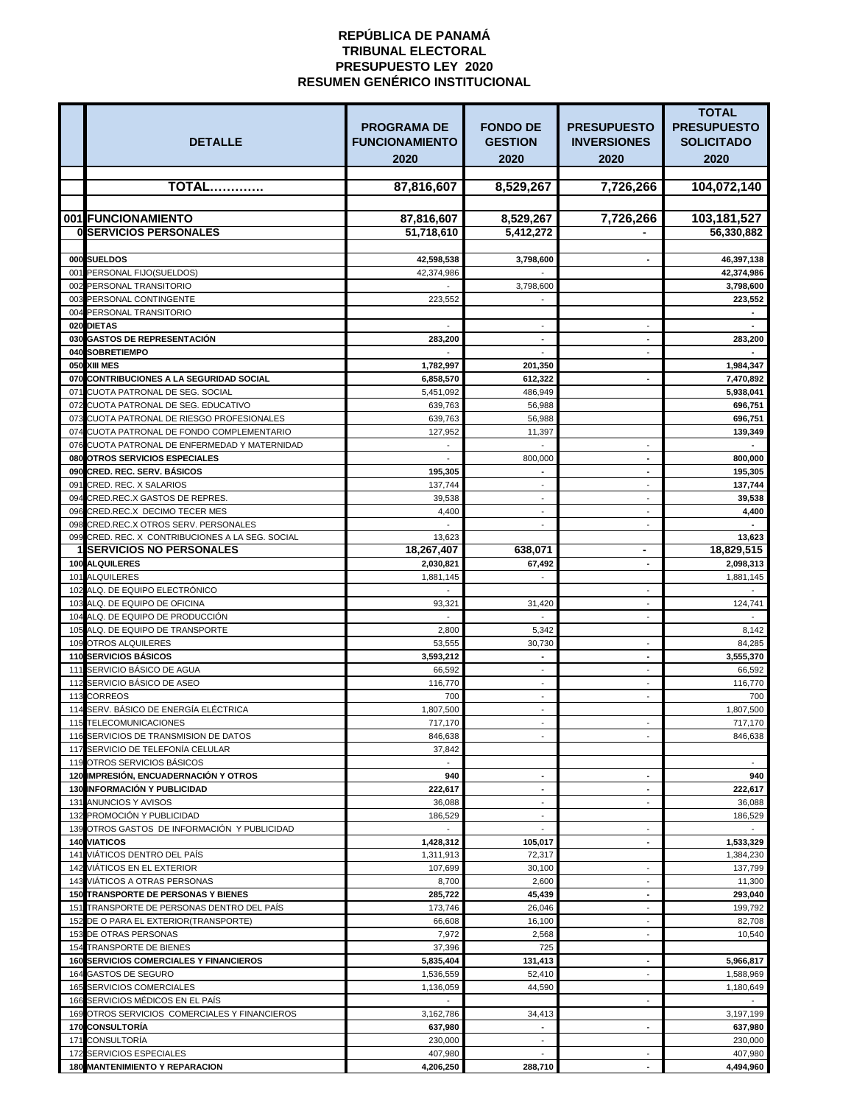|                                                                                 |                                             |                                   |                                          | <b>TOTAL</b>                            |
|---------------------------------------------------------------------------------|---------------------------------------------|-----------------------------------|------------------------------------------|-----------------------------------------|
| <b>DETALLE</b>                                                                  | <b>PROGRAMA DE</b><br><b>FUNCIONAMIENTO</b> | <b>FONDO DE</b><br><b>GESTION</b> | <b>PRESUPUESTO</b><br><b>INVERSIONES</b> | <b>PRESUPUESTO</b><br><b>SOLICITADO</b> |
|                                                                                 | 2020                                        | 2020                              | 2020                                     | 2020                                    |
| <b>TOTAL</b>                                                                    | 87,816,607                                  | 8,529,267                         | 7,726,266                                | 104,072,140                             |
|                                                                                 |                                             |                                   |                                          |                                         |
| 001 FUNCIONAMIENTO                                                              | 87,816,607                                  | 8,529,267                         | 7,726,266                                | 103,181,527                             |
| <b>OISERVICIOS PERSONALES</b>                                                   | 51,718,610                                  | 5,412,272                         |                                          | 56,330,882                              |
| 000 SUELDOS                                                                     | 42,598,538                                  | 3,798,600                         |                                          | 46,397,138                              |
| 001 PERSONAL FIJO(SUELDOS)                                                      | 42,374,986                                  |                                   |                                          | 42,374,986                              |
| 002 PERSONAL TRANSITORIO                                                        |                                             | 3,798,600                         |                                          | 3,798,600                               |
| 003 PERSONAL CONTINGENTE<br>004 PERSONAL TRANSITORIO                            | 223,552                                     |                                   |                                          | 223,552                                 |
| 020 DIETAS                                                                      |                                             |                                   |                                          |                                         |
| 030 GASTOS DE REPRESENTACIÓN                                                    | 283,200                                     | $\blacksquare$                    | $\blacksquare$                           | 283,200                                 |
| 040 SOBRETIEMPO                                                                 |                                             |                                   |                                          |                                         |
| 050 XIII MES<br>070 CONTRIBUCIONES A LA SEGURIDAD SOCIAL                        | 1,782,997<br>6,858,570                      | 201,350<br>612,322                |                                          | 1,984,347<br>7,470,892                  |
| 071 CUOTA PATRONAL DE SEG. SOCIAL                                               | 5,451,092                                   | 486,949                           |                                          | 5,938,041                               |
| 072 CUOTA PATRONAL DE SEG. EDUCATIVO                                            | 639,763                                     | 56,988                            |                                          | 696,751                                 |
| 073 CUOTA PATRONAL DE RIESGO PROFESIONALES                                      | 639,763                                     | 56,988                            |                                          | 696,751                                 |
| 074 CUOTA PATRONAL DE FONDO COMPLEMENTARIO                                      | 127,952                                     | 11,397                            |                                          | 139,349                                 |
| 076 CUOTA PATRONAL DE ENFERMEDAD Y MATERNIDAD<br>080 OTROS SERVICIOS ESPECIALES |                                             | 800,000                           | $\blacksquare$                           | 800,000                                 |
| 090 CRED. REC. SERV. BÁSICOS                                                    | 195,305                                     | $\blacksquare$                    | $\blacksquare$                           | 195,305                                 |
| 091 CRED. REC. X SALARIOS                                                       | 137,744                                     | $\blacksquare$                    |                                          | 137,744                                 |
| 094 CRED.REC.X GASTOS DE REPRES.                                                | 39,538                                      |                                   |                                          | 39,538                                  |
| 096 CRED.REC.X DECIMO TECER MES<br>098 CRED.REC.X OTROS SERV. PERSONALES        | 4,400                                       |                                   | $\blacksquare$                           | 4,400                                   |
| 099 CRED. REC. X CONTRIBUCIONES A LA SEG. SOCIAL                                | 13,623                                      |                                   |                                          | 13,623                                  |
| <b>1 SERVICIOS NO PERSONALES</b>                                                | 18,267,407                                  | 638,071                           | $\blacksquare$                           | 18,829,515                              |
| <b>100 ALQUILERES</b>                                                           | 2,030,821                                   | 67,492                            |                                          | 2,098,313                               |
| 101 ALQUILERES                                                                  | 1,881,145                                   |                                   |                                          | 1,881,145                               |
| 102 ALQ. DE EQUIPO ELECTRÓNICO<br>103 ALQ. DE EQUIPO DE OFICINA                 | 93,321                                      | 31,420                            | $\blacksquare$<br>$\sim$                 | 124,741                                 |
| 104 ALQ. DE EQUIPO DE PRODUCCIÓN                                                |                                             |                                   |                                          |                                         |
| 105 ALQ. DE EQUIPO DE TRANSPORTE                                                | 2,800                                       | 5,342                             |                                          | 8,142                                   |
| 109 OTROS ALQUILERES                                                            | 53,555                                      | 30,730                            |                                          | 84,285                                  |
| <b>110 SERVICIOS BÁSICOS</b><br>111 SERVICIO BÁSICO DE AGUA                     | 3,593,212<br>66,592                         |                                   | $\blacksquare$                           | 3,555,370<br>66,592                     |
| 112 SERVICIO BÁSICO DE ASEO                                                     | 116,770                                     |                                   |                                          | 116,770                                 |
| 113 CORREOS                                                                     | 700                                         |                                   | $\blacksquare$                           | 700                                     |
| 114 SERV. BÁSICO DE ENERGÍA ELÉCTRICA                                           | 1,807,500                                   | $\overline{\phantom{a}}$          |                                          | 1,807,500                               |
| 115 TELECOMUNICACIONES                                                          | 717,170                                     | $\blacksquare$                    | $\sim$                                   | 717,170                                 |
| 116 SERVICIOS DE TRANSMISION DE DATOS<br>117 SERVICIO DE TELEFONÍA CELULAR      | 846,638<br>37,842                           |                                   |                                          | 846,638                                 |
| 119 OTROS SERVICIOS BÁSICOS                                                     |                                             |                                   |                                          |                                         |
| 120 IMPRESIÓN, ENCUADERNACIÓN Y OTROS                                           | 940                                         | $\blacksquare$                    | $\blacksquare$                           | 940                                     |
| <b>130 INFORMACIÓN Y PUBLICIDAD</b>                                             | 222,617                                     | $\blacksquare$                    |                                          | 222,617                                 |
| 131 ANUNCIOS Y AVISOS<br>132 PROMOCIÓN Y PUBLICIDAD                             | 36,088<br>186,529                           |                                   |                                          | 36,088<br>186,529                       |
| 139 OTROS GASTOS DE INFORMACIÓN Y PUBLICIDAD                                    |                                             |                                   | $\blacksquare$                           |                                         |
| <b>140 VIATICOS</b>                                                             | 1,428,312                                   | 105,017                           | $\blacksquare$                           | 1,533,329                               |
| 141 VIÁTICOS DENTRO DEL PAÍS                                                    | 1,311,913                                   | 72,317                            |                                          | 1,384,230                               |
| 142 VIÁTICOS EN EL EXTERIOR                                                     | 107,699                                     | 30,100                            |                                          | 137,799                                 |
| 143 VIÁTICOS A OTRAS PERSONAS<br><b>150 TRANSPORTE DE PERSONAS Y BIENES</b>     | 8,700<br>285,722                            | 2,600<br>45,439                   | $\blacksquare$                           | 11,300<br>293,040                       |
| 151 TRANSPORTE DE PERSONAS DENTRO DEL PAÍS                                      | 173,746                                     | 26,046                            | $\sim$                                   | 199,792                                 |
| 152 DE O PARA EL EXTERIOR (TRANSPORTE)                                          | 66,608                                      | 16,100                            |                                          | 82,708                                  |
| 153 DE OTRAS PERSONAS                                                           | 7,972                                       | 2,568                             |                                          | 10,540                                  |
| 154 TRANSPORTE DE BIENES<br><b>160 SERVICIOS COMERCIALES Y FINANCIEROS</b>      | 37,396                                      | 725                               |                                          |                                         |
| 164 GASTOS DE SEGURO                                                            | 5,835,404<br>1,536,559                      | 131,413<br>52,410                 | ٠<br>$\sim$                              | 5,966,817<br>1,588,969                  |
| 165 SERVICIOS COMERCIALES                                                       | 1,136,059                                   | 44,590                            |                                          | 1,180,649                               |
| 166 SERVICIOS MÉDICOS EN EL PAÍS                                                |                                             |                                   |                                          |                                         |
| 169 OTROS SERVICIOS COMERCIALES Y FINANCIEROS                                   | 3,162,786                                   | 34,413                            |                                          | 3,197,199                               |
| <b>170 CONSULTORÍA</b><br>171 CONSULTORÍA                                       | 637,980<br>230,000                          |                                   |                                          | 637,980<br>230,000                      |
| 172 SERVICIOS ESPECIALES                                                        | 407,980                                     |                                   |                                          | 407,980                                 |
| <b>180 MANTENIMIENTO Y REPARACION</b>                                           | 4,206,250                                   | 288,710                           |                                          | 4,494,960                               |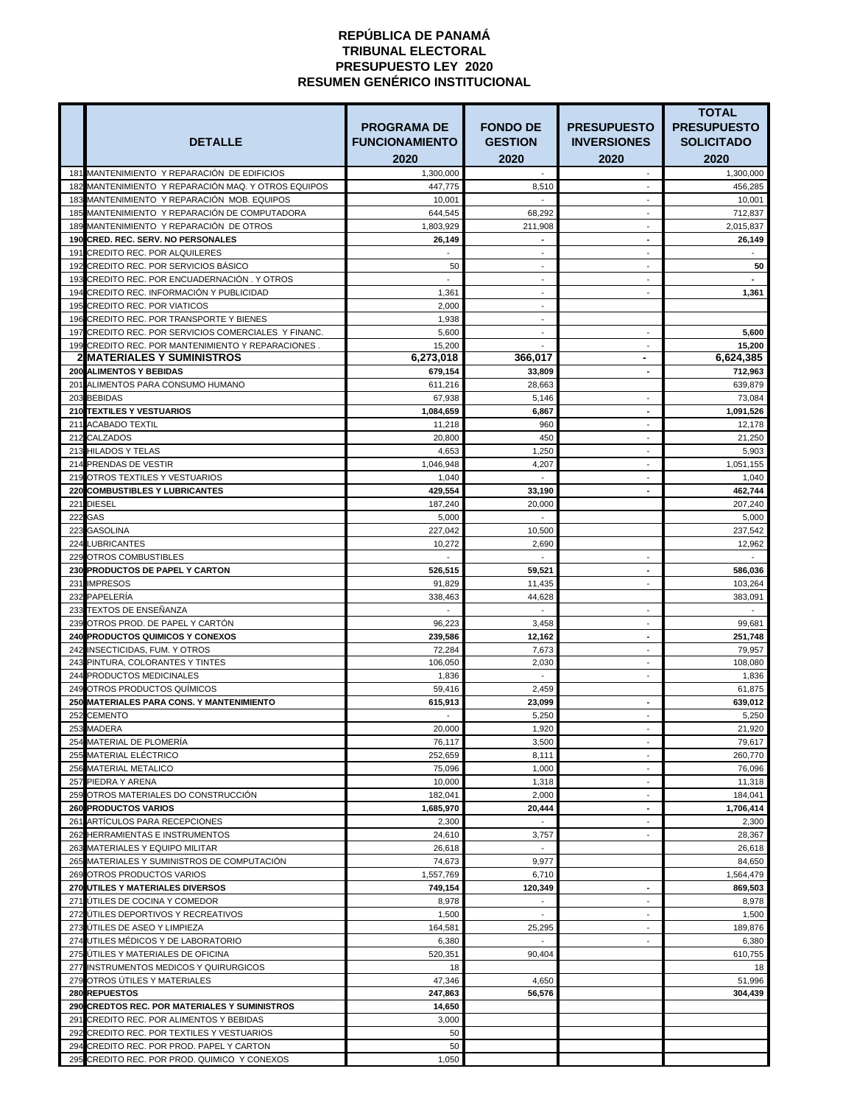|     |                                                                            |                       |                 |                                                | <b>TOTAL</b>       |
|-----|----------------------------------------------------------------------------|-----------------------|-----------------|------------------------------------------------|--------------------|
|     |                                                                            | <b>PROGRAMA DE</b>    | <b>FONDO DE</b> | <b>PRESUPUESTO</b>                             | <b>PRESUPUESTO</b> |
|     | <b>DETALLE</b>                                                             | <b>FUNCIONAMIENTO</b> | <b>GESTION</b>  | <b>INVERSIONES</b>                             | <b>SOLICITADO</b>  |
|     |                                                                            | 2020                  | 2020            | 2020                                           | 2020               |
|     | 181 MANTENIMIENTO Y REPARACIÓN DE EDIFICIOS                                | 1,300,000             |                 | $\sim$                                         | 1,300,000          |
|     | 182 MANTENIMIENTO Y REPARACIÓN MAQ. Y OTROS EQUIPOS                        | 447,775               | 8,510           | ÷.                                             | 456,285            |
|     | 183 MANTENIMIENTO Y REPARACIÓN MOB. EQUIPOS                                | 10,001                |                 |                                                | 10,001             |
|     | 185 MANTENIMIENTO Y REPARACIÓN DE COMPUTADORA                              | 644,545               | 68,292          | $\overline{\phantom{0}}$                       | 712,837            |
|     | 189 MANTENIMIENTO Y REPARACIÓN DE OTROS                                    | 1,803,929             | 211,908         | $\sim$                                         | 2,015,837          |
|     | 190 CRED. REC. SERV. NO PERSONALES                                         | 26,149                |                 | $\blacksquare$                                 | 26,149             |
|     | 191 CREDITO REC. POR ALQUILERES                                            |                       |                 |                                                |                    |
|     | 192 CREDITO REC. POR SERVICIOS BÁSICO                                      | 50                    |                 |                                                | 50                 |
|     | 193 CREDITO REC. POR ENCUADERNACIÓN. Y OTROS                               |                       |                 | $\overline{\phantom{0}}$                       |                    |
|     | 194 CREDITO REC. INFORMACIÓN Y PUBLICIDAD<br>195 CREDITO REC. POR VIATICOS | 1,361<br>2,000        | $\blacksquare$  | $\sim$                                         | 1,361              |
|     | 196 CREDITO REC. POR TRANSPORTE Y BIENES                                   | 1,938                 |                 |                                                |                    |
|     | 197 CREDITO REC. POR SERVICIOS COMERCIALES Y FINANC.                       | 5,600                 |                 | $\blacksquare$                                 | 5,600              |
|     | 199 CREDITO REC. POR MANTENIMIENTO Y REPARACIONES.                         | 15,200                | $\blacksquare$  | $\overline{\phantom{a}}$                       | 15,200             |
|     | <b>2 MATERIALES Y SUMINISTROS</b>                                          | 6,273,018             | 366,017         | $\blacksquare$                                 | 6,624,385          |
|     | <b>200 ALIMENTOS Y BEBIDAS</b>                                             | 679,154               | 33,809          | $\blacksquare$                                 | 712,963            |
|     | 201 ALIMENTOS PARA CONSUMO HUMANO                                          | 611.216               | 28,663          |                                                | 639,879            |
|     | 203 BEBIDAS                                                                | 67,938                | 5,146           | ٠                                              | 73,084             |
|     | <b>210 TEXTILES Y VESTUARIOS</b>                                           | 1,084,659             | 6,867           | $\blacksquare$                                 | 1,091,526          |
|     | 211 ACABADO TEXTIL                                                         | 11,218                | 960             | $\sim$                                         | 12,178             |
|     | 212 CALZADOS                                                               | 20,800                | 450             |                                                | 21,250             |
|     | 213 HILADOS Y TELAS                                                        | 4,653                 | 1,250           | $\blacksquare$                                 | 5,903              |
|     | 214 PRENDAS DE VESTIR<br>219 OTROS TEXTILES Y VESTUARIOS                   | 1,046,948<br>1,040    | 4,207           | ٠                                              | 1,051,155<br>1,040 |
|     | <b>220 COMBUSTIBLES Y LUBRICANTES</b>                                      | 429,554               | 33,190          | -                                              | 462,744            |
|     | 221 DIESEL                                                                 | 187,240               | 20,000          |                                                | 207,240            |
|     | 222 GAS                                                                    | 5,000                 |                 |                                                | 5,000              |
|     | 223 GASOLINA                                                               | 227,042               | 10,500          |                                                | 237,542            |
|     | 224 LUBRICANTES                                                            | 10,272                | 2,690           |                                                | 12,962             |
|     | 229 OTROS COMBUSTIBLES                                                     |                       |                 |                                                |                    |
|     | <b>230 PRODUCTOS DE PAPEL Y CARTON</b>                                     | 526,515               | 59.521          |                                                | 586,036            |
|     | 231 IMPRESOS                                                               | 91,829                | 11,435          | ٠                                              | 103,264            |
|     | 232 PAPELERÍA                                                              | 338,463               | 44,628          |                                                | 383,091            |
|     | 233 TEXTOS DE ENSEÑANZA                                                    |                       |                 | ä,                                             |                    |
|     | 239 OTROS PROD. DE PAPEL Y CARTÓN                                          | 96,223                | 3,458           |                                                | 99,681             |
|     | <b>240 PRODUCTOS QUIMICOS Y CONEXOS</b>                                    | 239,586               | 12,162          | -                                              | 251,748            |
|     | 242 INSECTICIDAS, FUM. Y OTROS<br>243 PINTURA, COLORANTES Y TINTES         | 72,284<br>106,050     | 7,673<br>2,030  | $\blacksquare$<br>$\blacksquare$               | 79,957<br>108,080  |
|     | 244 PRODUCTOS MEDICINALES                                                  | 1,836                 |                 | ۰                                              | 1,836              |
|     | 249 OTROS PRODUCTOS QUÍMICOS                                               | 59,416                | 2,459           |                                                | 61,875             |
|     | 250 MATERIALES PARA CONS. Y MANTENIMIENTO                                  | 615,913               | 23,099          | $\blacksquare$                                 | 639,012            |
|     | 252 CEMENTO                                                                |                       | 5,250           | $\overline{\phantom{a}}$                       | 5,250              |
|     | 253 MADERA                                                                 | 20,000                | 1,920           | $\overline{\phantom{a}}$                       | 21,920             |
|     | 254 MATERIAL DE PLOMERIA                                                   | 76,117                | 3,500           | $\overline{\phantom{0}}$                       | 79,617             |
|     | 255 MATERIAL ELÉCTRICO                                                     | 252,659               | 8,111           | ÷,                                             | 260,770            |
|     | 256 MATERIAL METALICO                                                      | 75,096                | 1,000           |                                                | 76,096             |
|     | 257 PIEDRA Y ARENA                                                         | 10,000                | 1,318           | $\blacksquare$                                 | 11,318             |
|     | 259 OTROS MATERIALES DO CONSTRUCCIÓN                                       | 182,041               | 2,000           | $\blacksquare$                                 | 184,041            |
|     | <b>260 PRODUCTOS VARIOS</b><br>261 ARTÍCULOS PARA RECEPCIONES              | 1,685,970             | 20,444          | $\blacksquare$<br>$\qquad \qquad \blacksquare$ | 1,706,414<br>2,300 |
|     | 262 HERRAMIENTAS E INSTRUMENTOS                                            | 2,300<br>24,610       | 3,757           | $\blacksquare$                                 | 28,367             |
|     | 263 MATERIALES Y EQUIPO MILITAR                                            | 26,618                |                 |                                                | 26,618             |
|     | 265 MATERIALES Y SUMINISTROS DE COMPUTACIÓN                                | 74,673                | 9,977           |                                                | 84,650             |
|     | 269 OTROS PRODUCTOS VARIOS                                                 | 1,557,769             | 6,710           |                                                | 1,564,479          |
|     | <b>270 UTILES Y MATERIALES DIVERSOS</b>                                    | 749,154               | 120,349         |                                                | 869,503            |
|     | 271 ÚTILES DE COCINA Y COMEDOR                                             | 8,978                 |                 |                                                | 8,978              |
|     | 272 UTILES DEPORTIVOS Y RECREATIVOS                                        | 1,500                 |                 | $\blacksquare$                                 | 1,500              |
|     | 273 ÚTILES DE ASEO Y LIMPIEZA                                              | 164,581               | 25,295          | $\overline{\phantom{0}}$                       | 189,876            |
|     | 274 UTILES MÉDICOS Y DE LABORATORIO                                        | 6,380                 |                 | ÷.                                             | 6,380              |
|     | 275 UTILES Y MATERIALES DE OFICINA                                         | 520,351               | 90,404          |                                                | 610,755            |
|     | 277 INSTRUMENTOS MEDICOS Y QUIRURGICOS<br>279 OTROS ÚTILES Y MATERIALES    | 18                    |                 |                                                | 18                 |
|     | 280 REPUESTOS                                                              | 47,346<br>247,863     | 4,650<br>56,576 |                                                | 51,996<br>304,439  |
|     | 290 CREDTOS REC. POR MATERIALES Y SUMINISTROS                              | 14,650                |                 |                                                |                    |
|     | 291 CREDITO REC. POR ALIMENTOS Y BEBIDAS                                   | 3,000                 |                 |                                                |                    |
| 292 | CREDITO REC. POR TEXTILES Y VESTUARIOS                                     | 50                    |                 |                                                |                    |
|     | 294 CREDITO REC. POR PROD. PAPEL Y CARTON                                  | $50\,$                |                 |                                                |                    |
|     | 295 CREDITO REC. POR PROD. QUIMICO Y CONEXOS                               | 1,050                 |                 |                                                |                    |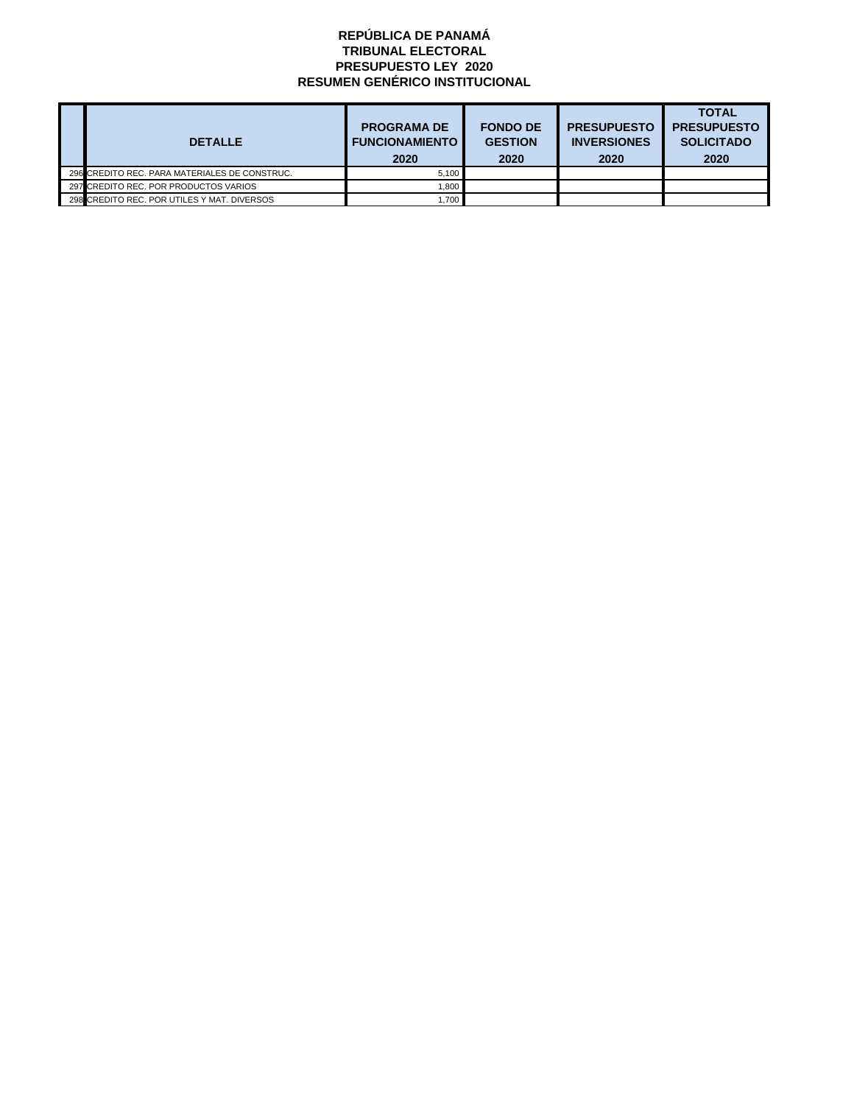| <b>DETALLE</b>                                | <b>PROGRAMA DE</b><br><b>FUNCIONAMIENTO</b> | <b>FONDO DE</b><br><b>GESTION</b> | <b>PRESUPUESTO</b><br><b>INVERSIONES</b> | <b>TOTAL</b><br><b>PRESUPUESTO</b><br><b>SOLICITADO</b> |
|-----------------------------------------------|---------------------------------------------|-----------------------------------|------------------------------------------|---------------------------------------------------------|
|                                               | 2020                                        | 2020                              | 2020                                     | 2020                                                    |
| 296 CREDITO REC. PARA MATERIALES DE CONSTRUC. | 5.100                                       |                                   |                                          |                                                         |
| 297 CREDITO REC. POR PRODUCTOS VARIOS         | 1.800                                       |                                   |                                          |                                                         |
| 298 CREDITO REC. POR UTILES Y MAT. DIVERSOS   | 1.700                                       |                                   |                                          |                                                         |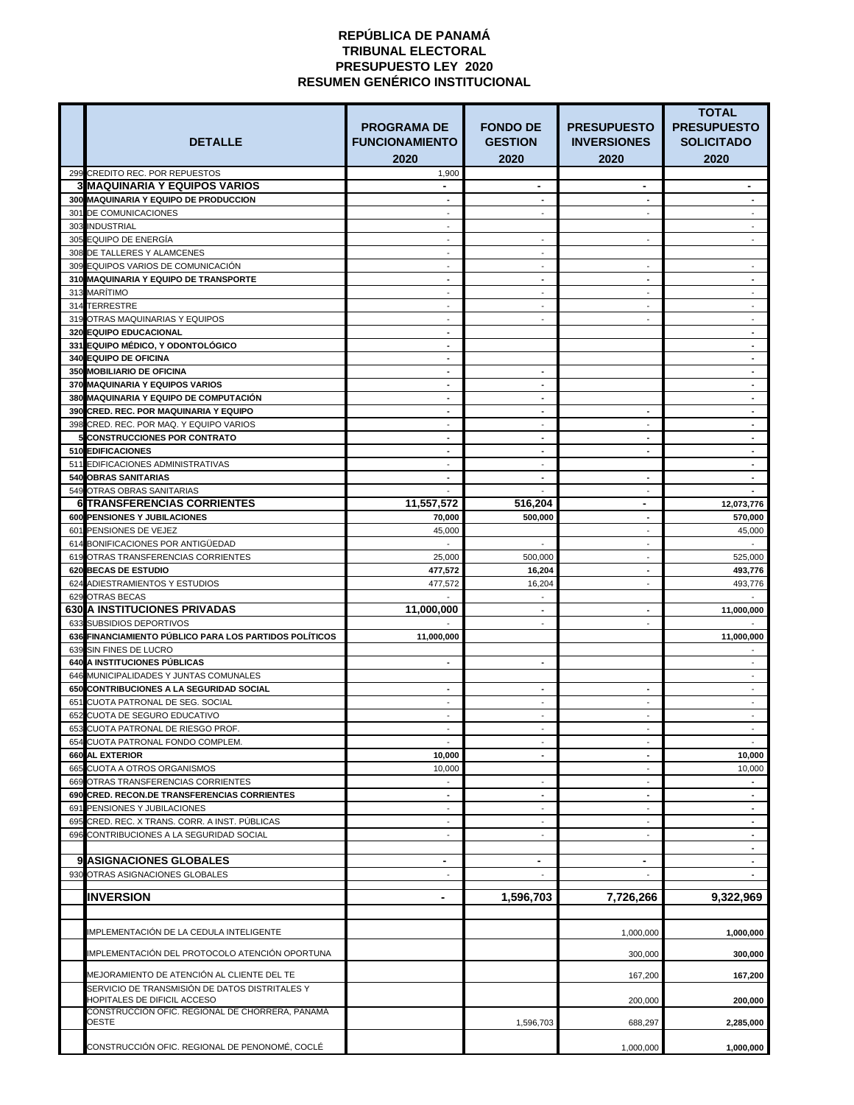| <b>DETALLE</b>                                                                             | <b>PROGRAMA DE</b><br><b>FUNCIONAMIENTO</b> | <b>FONDO DE</b><br><b>GESTION</b> | <b>PRESUPUESTO</b><br><b>INVERSIONES</b> | <b>TOTAL</b><br><b>PRESUPUESTO</b><br><b>SOLICITADO</b> |
|--------------------------------------------------------------------------------------------|---------------------------------------------|-----------------------------------|------------------------------------------|---------------------------------------------------------|
|                                                                                            | 2020                                        | 2020                              | 2020                                     | 2020                                                    |
| 299 CREDITO REC. POR REPUESTOS<br><b>3 MAQUINARIA Y EQUIPOS VARIOS</b>                     | 1,900                                       | $\blacksquare$                    | $\blacksquare$                           |                                                         |
| 300 MAQUINARIA Y EQUIPO DE PRODUCCION                                                      |                                             |                                   |                                          |                                                         |
| 301 DE COMUNICACIONES                                                                      |                                             |                                   | $\blacksquare$                           |                                                         |
| 303 INDUSTRIAL                                                                             |                                             |                                   |                                          |                                                         |
| 305 EQUIPO DE ENERGÍA<br>308 DE TALLERES Y ALAMCENES                                       |                                             |                                   |                                          |                                                         |
| 309 EQUIPOS VARIOS DE COMUNICACIÓN                                                         |                                             |                                   |                                          |                                                         |
| 310 MAQUINARIA Y EQUIPO DE TRANSPORTE                                                      |                                             |                                   | $\blacksquare$                           |                                                         |
| 313 MARÍTIMO                                                                               |                                             |                                   | ۰                                        |                                                         |
| 314 TERRESTRE<br>319 OTRAS MAQUINARIAS Y EQUIPOS                                           |                                             |                                   | ۰                                        |                                                         |
| <b>320 EQUIPO EDUCACIONAL</b>                                                              | $\blacksquare$                              |                                   |                                          |                                                         |
| 331 EQUIPO MÉDICO, Y ODONTOLÓGICO                                                          | $\blacksquare$                              |                                   |                                          |                                                         |
| <b>340 EQUIPO DE OFICINA</b>                                                               |                                             |                                   |                                          |                                                         |
| <b>350 MOBILIARIO DE OFICINA</b><br>370 MAQUINARIA Y EQUIPOS VARIOS                        |                                             |                                   |                                          |                                                         |
| <b>380 MAQUINARIA Y EQUIPO DE COMPUTACIÓN</b>                                              |                                             |                                   |                                          |                                                         |
| 390 CRED. REC. POR MAQUINARIA Y EQUIPO                                                     |                                             |                                   | $\blacksquare$                           |                                                         |
| 398 CRED. REC. POR MAQ. Y EQUIPO VARIOS                                                    |                                             |                                   |                                          |                                                         |
| <b>5 CONSTRUCCIONES POR CONTRATO</b><br>510 EDIFICACIONES                                  | $\blacksquare$                              | $\blacksquare$                    | $\blacksquare$                           |                                                         |
| 511 EDIFICACIONES ADMINISTRATIVAS                                                          |                                             |                                   |                                          |                                                         |
| <b>540 OBRAS SANITARIAS</b>                                                                |                                             |                                   | -                                        |                                                         |
| 549 OTRAS OBRAS SANITARIAS                                                                 |                                             |                                   |                                          |                                                         |
| <b>6 TRANSFERENCIAS CORRIENTES</b><br><b>600 PENSIONES Y JUBILACIONES</b>                  | 11,557,572<br>70,000                        | 516,204<br>500,000                | $\blacksquare$                           | 12,073,776<br>570,000                                   |
| 601 PENSIONES DE VEJEZ                                                                     | 45,000                                      |                                   | $\blacksquare$<br>$\sim$                 | 45,000                                                  |
| 614 BONIFICACIONES POR ANTIGÜEDAD                                                          |                                             |                                   | $\blacksquare$                           |                                                         |
| 619 OTRAS TRANSFERENCIAS CORRIENTES                                                        | 25,000                                      | 500,000                           | ä,                                       | 525,000                                                 |
| 620 BECAS DE ESTUDIO                                                                       | 477,572                                     | 16.204                            |                                          | 493,776                                                 |
| 624 ADIESTRAMIENTOS Y ESTUDIOS<br>629 OTRAS BECAS                                          | 477,572                                     | 16,204                            | $\blacksquare$                           | 493,776                                                 |
| <b>630 A INSTITUCIONES PRIVADAS</b>                                                        | 11,000,000                                  |                                   | Ξ.                                       | 11,000,000                                              |
| 633 SUBSIDIOS DEPORTIVOS                                                                   |                                             |                                   |                                          |                                                         |
| 636 FINANCIAMIENTO PÚBLICO PARA LOS PARTIDOS POLÍTICOS<br>639 SIN FINES DE LUCRO           | 11,000,000                                  |                                   |                                          | 11,000,000                                              |
| <b>640 A INSTITUCIONES PÚBLICAS</b>                                                        |                                             |                                   |                                          |                                                         |
| 646 MUNICIPALIDADES Y JUNTAS COMUNALES                                                     |                                             |                                   |                                          |                                                         |
| 650 CONTRIBUCIONES A LA SEGURIDAD SOCIAL                                                   | $\blacksquare$                              |                                   | $\blacksquare$                           |                                                         |
| 651 CUOTA PATRONAL DE SEG. SOCIAL                                                          | $\blacksquare$                              | $\overline{\phantom{a}}$          | $\blacksquare$                           |                                                         |
| 652 CUOTA DE SEGURO EDUCATIVO<br>653 CUOTA PATRONAL DE RIESGO PROF.                        | $\sim$<br>$\sim$                            | $\overline{\phantom{a}}$          | $\blacksquare$<br>$\blacksquare$         |                                                         |
| 654 CUOTA PATRONAL FONDO COMPLEM.                                                          |                                             |                                   |                                          |                                                         |
| <b>660 AL EXTERIOR</b>                                                                     | 10,000                                      |                                   | ۰.                                       | 10,000                                                  |
| 665 CUOTA A OTROS ORGANISMOS                                                               | 10,000                                      |                                   | $\sim$                                   | 10,000                                                  |
| <b>669 OTRAS TRANSFERENCIAS CORRIENTES</b><br>690 CRED. RECON.DE TRANSFERENCIAS CORRIENTES | $\blacksquare$                              |                                   | $\sim$<br>$\blacksquare$                 | $\blacksquare$                                          |
| 691 PENSIONES Y JUBILACIONES                                                               |                                             |                                   |                                          |                                                         |
| 695 CRED. REC. X TRANS. CORR. A INST. PÚBLICAS                                             | $\blacksquare$                              | $\overline{\phantom{a}}$          | $\blacksquare$                           | $\blacksquare$                                          |
| 696 CONTRIBUCIONES A LA SEGURIDAD SOCIAL                                                   | $\sim$                                      | $\blacksquare$                    | $\blacksquare$                           | $\blacksquare$                                          |
| 9 ASIGNACIONES GLOBALES                                                                    | $\blacksquare$                              | $\blacksquare$                    | $\blacksquare$                           | $\overline{\phantom{0}}$                                |
| 930 OTRAS ASIGNACIONES GLOBALES                                                            |                                             |                                   |                                          |                                                         |
| <b>INVERSION</b>                                                                           |                                             | 1,596,703                         |                                          |                                                         |
|                                                                                            | $\blacksquare$                              |                                   | 7,726,266                                | 9,322,969                                               |
| IMPLEMENTACIÓN DE LA CEDULA INTELIGENTE                                                    |                                             |                                   | 1,000,000                                | 1,000,000                                               |
| IMPLEMENTACIÓN DEL PROTOCOLO ATENCIÓN OPORTUNA                                             |                                             |                                   | 300,000                                  | 300.000                                                 |
| MEJORAMIENTO DE ATENCIÓN AL CLIENTE DEL TE                                                 |                                             |                                   | 167,200                                  | 167,200                                                 |
| SERVICIO DE TRANSMISIÓN DE DATOS DISTRITALES Y<br>HOPITALES DE DIFICIL ACCESO              |                                             |                                   | 200,000                                  | 200,000                                                 |
| CONSTRUCCIÓN OFIC. REGIONAL DE CHORRERA, PANAMÁ<br><b>OESTE</b>                            |                                             | 1,596,703                         | 688,297                                  | 2,285,000                                               |
| CONSTRUCCIÓN OFIC. REGIONAL DE PENONOMÉ, COCLÉ                                             |                                             |                                   | 1,000,000                                | 1,000,000                                               |